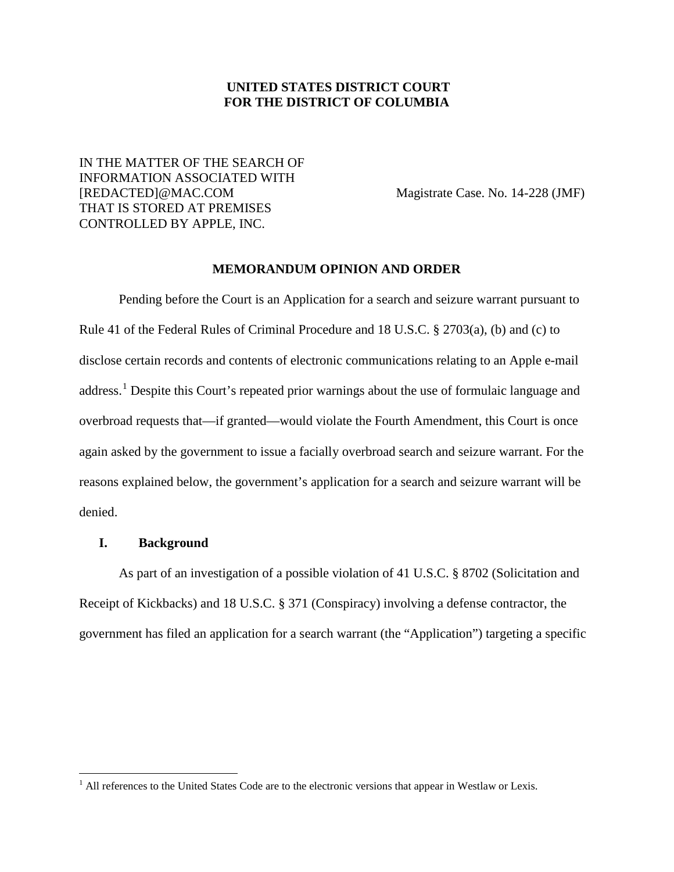## **UNITED STATES DISTRICT COURT FOR THE DISTRICT OF COLUMBIA**

# IN THE MATTER OF THE SEARCH OF INFORMATION ASSOCIATED WITH [REDACTED]@MAC.COM Magistrate Case. No. 14-228 (JMF) THAT IS STORED AT PREMISES CONTROLLED BY APPLE, INC.

### **MEMORANDUM OPINION AND ORDER**

Pending before the Court is an Application for a search and seizure warrant pursuant to Rule 41 of the Federal Rules of Criminal Procedure and 18 U.S.C. § 2703(a), (b) and (c) to disclose certain records and contents of electronic communications relating to an Apple e-mail address.<sup>1</sup> Despite this Court's repeated prior warnings about the use of formulaic language and overbroad requests that—if granted—would violate the Fourth Amendment, this Court is once again asked by the government to issue a facially overbroad search and seizure warrant. For the reasons explained below, the government's application for a search and seizure warrant will be denied.

## **I. Background**

As part of an investigation of a possible violation of 41 U.S.C. § 8702 (Solicitation and Receipt of Kickbacks) and 18 U.S.C. § 371 (Conspiracy) involving a defense contractor, the government has filed an application for a search warrant (the "Application") targeting a specific

<sup>&</sup>lt;sup>1</sup> All references to the United States Code are to the electronic versions that appear in Westlaw or Lexis.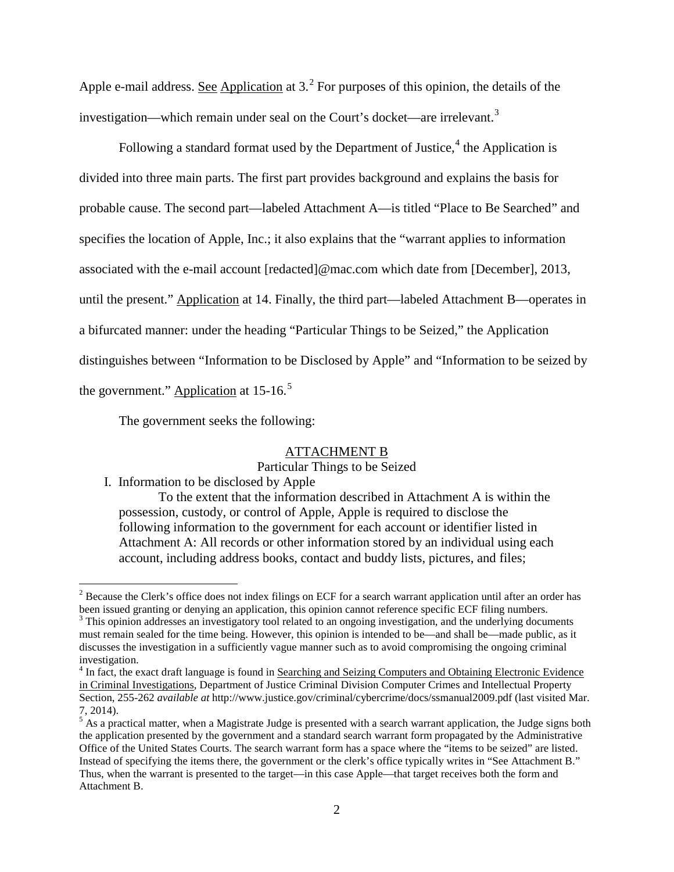Apple e-mail address. See Application at 3.<sup>2</sup> For purposes of this opinion, the details of the investigation—which remain under seal on the Court's docket—are irrelevant.<sup>3</sup>

Following a standard format used by the Department of Justice, $4$  the Application is divided into three main parts. The first part provides background and explains the basis for probable cause. The second part—labeled Attachment A—is titled "Place to Be Searched" and specifies the location of Apple, Inc.; it also explains that the "warrant applies to information associated with the e-mail account [redacted]@mac.com which date from [December], 2013, until the present." Application at 14. Finally, the third part—labeled Attachment B—operates in a bifurcated manner: under the heading "Particular Things to be Seized," the Application distinguishes between "Information to be Disclosed by Apple" and "Information to be seized by the government." Application at 15-16.<sup>5</sup>

The government seeks the following:

## ATTACHMENT B

### Particular Things to be Seized

I. Information to be disclosed by Apple

To the extent that the information described in Attachment A is within the possession, custody, or control of Apple, Apple is required to disclose the following information to the government for each account or identifier listed in Attachment A: All records or other information stored by an individual using each account, including address books, contact and buddy lists, pictures, and files;

<sup>&</sup>lt;sup>2</sup> Because the Clerk's office does not index filings on ECF for a search warrant application until after an order has been issued granting or denying an application, this opinion cannot reference specific ECF filing numbers.<br><sup>3</sup> This opinion addresses an investigatory tool related to an ongoing investigation, and the underlying documents

must remain sealed for the time being. However, this opinion is intended to be—and shall be—made public, as it discusses the investigation in a sufficiently vague manner such as to avoid compromising the ongoing criminal investigation.

<sup>&</sup>lt;sup>4</sup> In fact, the exact draft language is found in Searching and Seizing Computers and Obtaining Electronic Evidence in Criminal Investigations, Department of Justice Criminal Division Computer Crimes and Intellectual Property Section, 255-262 *available at* http://www.justice.gov/criminal/cybercrime/docs/ssmanual2009.pdf (last visited Mar. 7, 2014).

 $<sup>5</sup>$  As a practical matter, when a Magistrate Judge is presented with a search warrant application, the Judge signs both</sup> the application presented by the government and a standard search warrant form propagated by the Administrative Office of the United States Courts. The search warrant form has a space where the "items to be seized" are listed. Instead of specifying the items there, the government or the clerk's office typically writes in "See Attachment B." Thus, when the warrant is presented to the target—in this case Apple—that target receives both the form and Attachment B.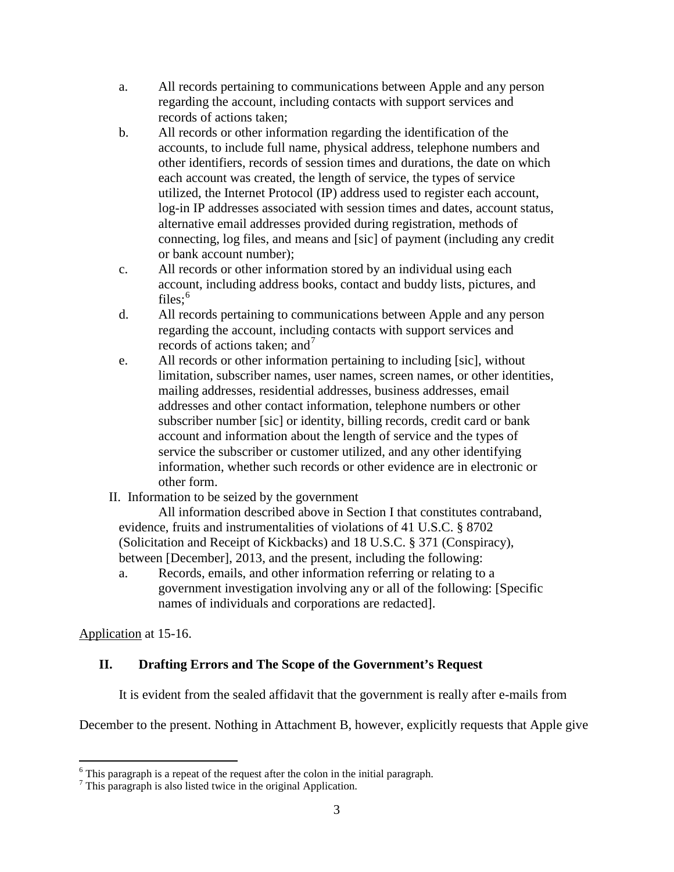- a. All records pertaining to communications between Apple and any person regarding the account, including contacts with support services and records of actions taken;
- b. All records or other information regarding the identification of the accounts, to include full name, physical address, telephone numbers and other identifiers, records of session times and durations, the date on which each account was created, the length of service, the types of service utilized, the Internet Protocol (IP) address used to register each account, log-in IP addresses associated with session times and dates, account status, alternative email addresses provided during registration, methods of connecting, log files, and means and [sic] of payment (including any credit or bank account number);
- c. All records or other information stored by an individual using each account, including address books, contact and buddy lists, pictures, and  $files:$ <sup>6</sup>
- d. All records pertaining to communications between Apple and any person regarding the account, including contacts with support services and records of actions taken; and  $<sup>7</sup>$ </sup>
- e. All records or other information pertaining to including [sic], without limitation, subscriber names, user names, screen names, or other identities, mailing addresses, residential addresses, business addresses, email addresses and other contact information, telephone numbers or other subscriber number [sic] or identity, billing records, credit card or bank account and information about the length of service and the types of service the subscriber or customer utilized, and any other identifying information, whether such records or other evidence are in electronic or other form.
- II. Information to be seized by the government

All information described above in Section I that constitutes contraband, evidence, fruits and instrumentalities of violations of 41 U.S.C. § 8702 (Solicitation and Receipt of Kickbacks) and 18 U.S.C. § 371 (Conspiracy), between [December], 2013, and the present, including the following:

a. Records, emails, and other information referring or relating to a government investigation involving any or all of the following: [Specific names of individuals and corporations are redacted].

Application at 15-16.

# **II. Drafting Errors and The Scope of the Government's Request**

It is evident from the sealed affidavit that the government is really after e-mails from

December to the present. Nothing in Attachment B, however, explicitly requests that Apple give

 $6$  This paragraph is a repeat of the request after the colon in the initial paragraph.

 $<sup>7</sup>$  This paragraph is also listed twice in the original Application.</sup>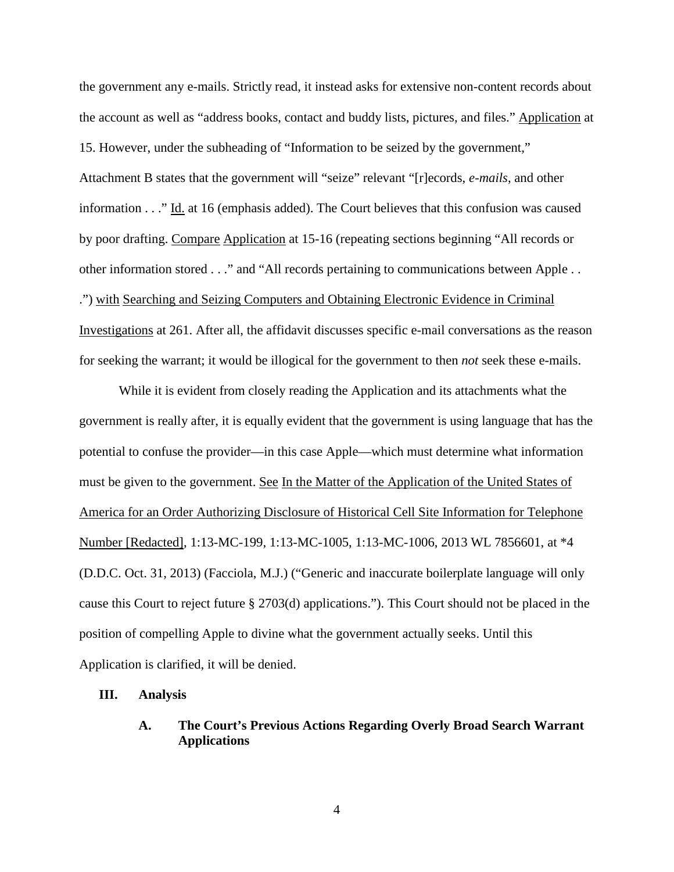the government any e-mails. Strictly read, it instead asks for extensive non-content records about the account as well as "address books, contact and buddy lists, pictures, and files." Application at 15. However, under the subheading of "Information to be seized by the government," Attachment B states that the government will "seize" relevant "[r]ecords, *e-mails*, and other information . . ." Id. at 16 (emphasis added). The Court believes that this confusion was caused by poor drafting. Compare Application at 15-16 (repeating sections beginning "All records or other information stored . . ." and "All records pertaining to communications between Apple . . .") with Searching and Seizing Computers and Obtaining Electronic Evidence in Criminal Investigations at 261. After all, the affidavit discusses specific e-mail conversations as the reason for seeking the warrant; it would be illogical for the government to then *not* seek these e-mails.

While it is evident from closely reading the Application and its attachments what the government is really after, it is equally evident that the government is using language that has the potential to confuse the provider—in this case Apple—which must determine what information must be given to the government. See In the Matter of the Application of the United States of America for an Order Authorizing Disclosure of Historical Cell Site Information for Telephone Number [Redacted], 1:13-MC-199, 1:13-MC-1005, 1:13-MC-1006, 2013 WL 7856601, at \*4 (D.D.C. Oct. 31, 2013) (Facciola, M.J.) ("Generic and inaccurate boilerplate language will only cause this Court to reject future § 2703(d) applications."). This Court should not be placed in the position of compelling Apple to divine what the government actually seeks. Until this Application is clarified, it will be denied.

#### **III. Analysis**

## **A. The Court's Previous Actions Regarding Overly Broad Search Warrant Applications**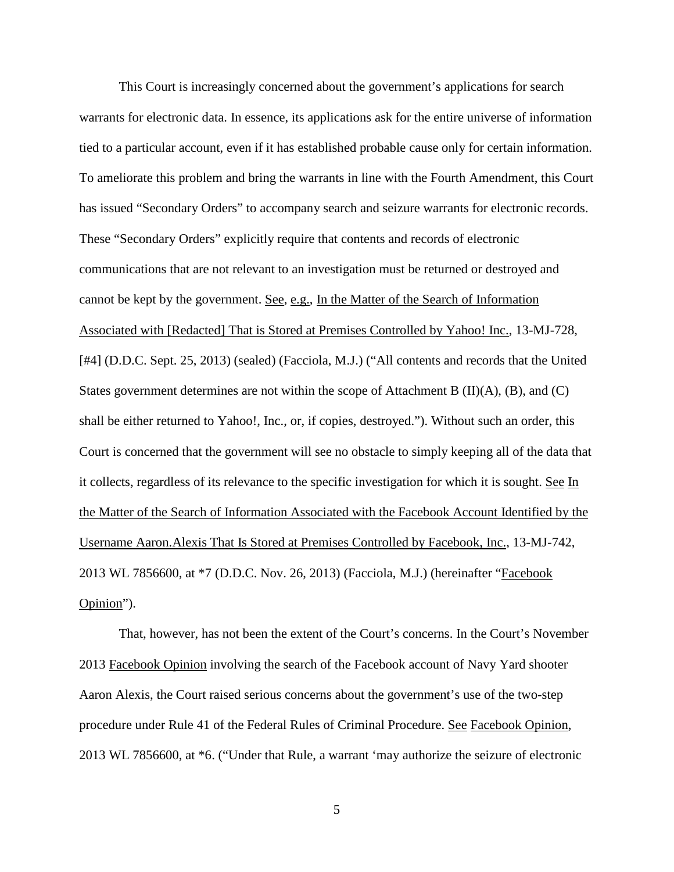This Court is increasingly concerned about the government's applications for search warrants for electronic data. In essence, its applications ask for the entire universe of information tied to a particular account, even if it has established probable cause only for certain information. To ameliorate this problem and bring the warrants in line with the Fourth Amendment, this Court has issued "Secondary Orders" to accompany search and seizure warrants for electronic records. These "Secondary Orders" explicitly require that contents and records of electronic communications that are not relevant to an investigation must be returned or destroyed and cannot be kept by the government. See, e.g., In the Matter of the Search of Information Associated with [Redacted] That is Stored at Premises Controlled by Yahoo! Inc., 13-MJ-728, [#4] (D.D.C. Sept. 25, 2013) (sealed) (Facciola, M.J.) ("All contents and records that the United States government determines are not within the scope of Attachment B (II)(A), (B), and (C) shall be either returned to Yahoo!, Inc., or, if copies, destroyed."). Without such an order, this Court is concerned that the government will see no obstacle to simply keeping all of the data that it collects, regardless of its relevance to the specific investigation for which it is sought. See In the Matter of the Search of Information Associated with the Facebook Account Identified by the Username Aaron.Alexis That Is Stored at Premises Controlled by Facebook, Inc., 13-MJ-742, 2013 WL 7856600, at \*7 (D.D.C. Nov. 26, 2013) (Facciola, M.J.) (hereinafter "Facebook Opinion").

That, however, has not been the extent of the Court's concerns. In the Court's November 2013 Facebook Opinion involving the search of the Facebook account of Navy Yard shooter Aaron Alexis, the Court raised serious concerns about the government's use of the two-step procedure under Rule 41 of the Federal Rules of Criminal Procedure. See Facebook Opinion, 2013 WL 7856600, at \*6. ("Under that Rule, a warrant 'may authorize the seizure of electronic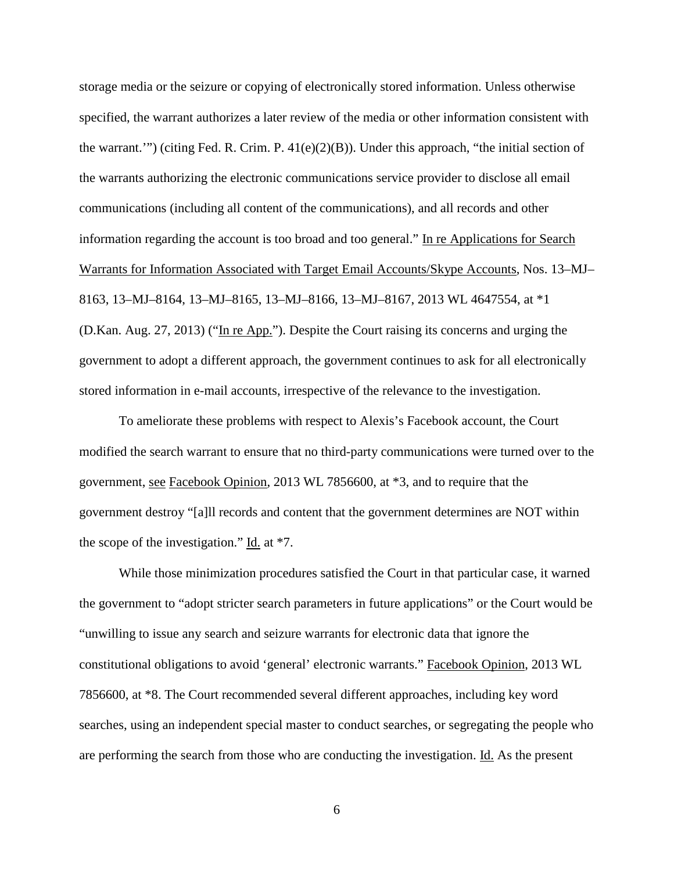storage media or the seizure or copying of electronically stored information. Unless otherwise specified, the warrant authorizes a later review of the media or other information consistent with the warrant.'") (citing Fed. R. Crim. P.  $41(e)(2)(B)$ ). Under this approach, "the initial section of the warrants authorizing the electronic communications service provider to disclose all email communications (including all content of the communications), and all records and other information regarding the account is too broad and too general." In re Applications for Search Warrants for Information Associated with Target Email Accounts/Skype Accounts, Nos. 13–MJ– 8163, 13–MJ–8164, 13–MJ–8165, 13–MJ–8166, 13–MJ–8167, 2013 WL 4647554, at \*1 (D.Kan. Aug. 27, 2013) ("In re App."). Despite the Court raising its concerns and urging the government to adopt a different approach, the government continues to ask for all electronically stored information in e-mail accounts, irrespective of the relevance to the investigation.

To ameliorate these problems with respect to Alexis's Facebook account, the Court modified the search warrant to ensure that no third-party communications were turned over to the government, see Facebook Opinion, 2013 WL 7856600, at \*3, and to require that the government destroy "[a]ll records and content that the government determines are NOT within the scope of the investigation." Id. at \*7.

While those minimization procedures satisfied the Court in that particular case, it warned the government to "adopt stricter search parameters in future applications" or the Court would be "unwilling to issue any search and seizure warrants for electronic data that ignore the constitutional obligations to avoid 'general' electronic warrants." Facebook Opinion, 2013 WL 7856600, at \*8. The Court recommended several different approaches, including key word searches, using an independent special master to conduct searches, or segregating the people who are performing the search from those who are conducting the investigation. Id. As the present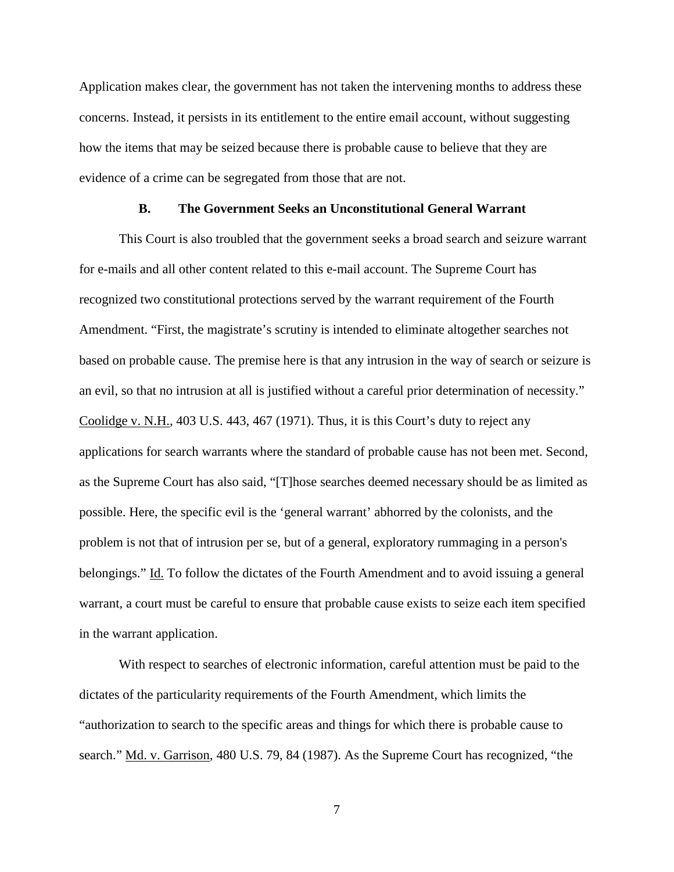Application makes clear, the government has not taken the intervening months to address these concerns. Instead, it persists in its entitlement to the entire email account, without suggesting how the items that may be seized because there is probable cause to believe that they are evidence of a crime can be segregated from those that are not.

#### **B. The Government Seeks an Unconstitutional General Warrant**

This Court is also troubled that the government seeks a broad search and seizure warrant for e-mails and all other content related to this e-mail account. The Supreme Court has recognized two constitutional protections served by the warrant requirement of the Fourth Amendment. "First, the magistrate's scrutiny is intended to eliminate altogether searches not based on probable cause. The premise here is that any intrusion in the way of search or seizure is an evil, so that no intrusion at all is justified without a careful prior determination of necessity." Coolidge v. N.H., 403 U.S. 443, 467 (1971). Thus, it is this Court's duty to reject any applications for search warrants where the standard of probable cause has not been met. Second, as the Supreme Court has also said, "[T]hose searches deemed necessary should be as limited as possible. Here, the specific evil is the 'general warrant' abhorred by the colonists, and the problem is not that of intrusion per se, but of a general, exploratory rummaging in a person's belongings." Id. To follow the dictates of the Fourth Amendment and to avoid issuing a general warrant, a court must be careful to ensure that probable cause exists to seize each item specified in the warrant application.

With respect to searches of electronic information, careful attention must be paid to the dictates of the particularity requirements of the Fourth Amendment, which limits the "authorization to search to the specific areas and things for which there is probable cause to search." Md. v. Garrison, 480 U.S. 79, 84 (1987). As the Supreme Court has recognized, "the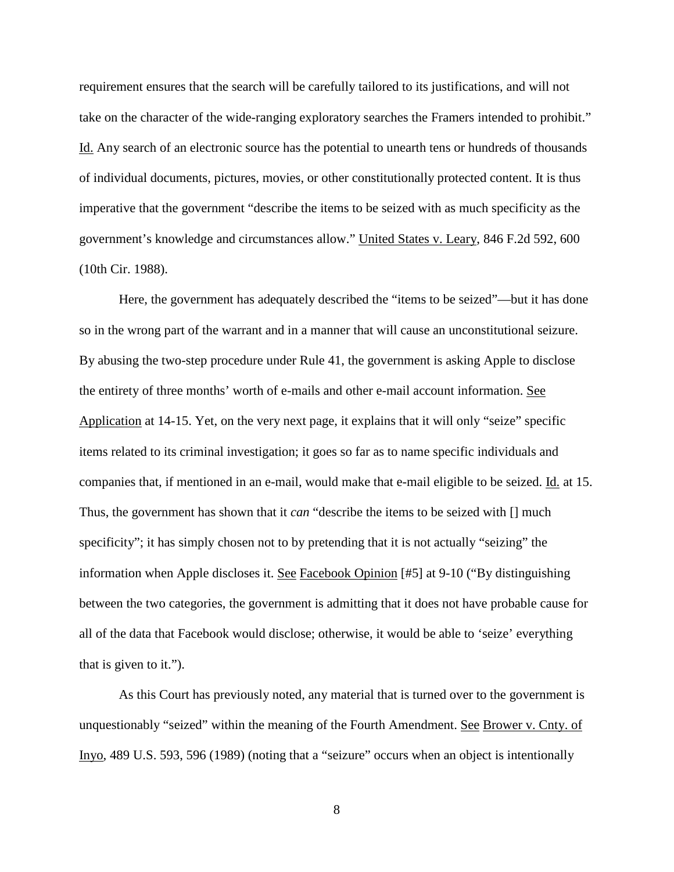requirement ensures that the search will be carefully tailored to its justifications, and will not take on the character of the wide-ranging exploratory searches the Framers intended to prohibit." Id. Any search of an electronic source has the potential to unearth tens or hundreds of thousands of individual documents, pictures, movies, or other constitutionally protected content. It is thus imperative that the government "describe the items to be seized with as much specificity as the government's knowledge and circumstances allow." United States v. Leary, 846 F.2d 592, 600 (10th Cir. 1988).

Here, the government has adequately described the "items to be seized"—but it has done so in the wrong part of the warrant and in a manner that will cause an unconstitutional seizure. By abusing the two-step procedure under Rule 41, the government is asking Apple to disclose the entirety of three months' worth of e-mails and other e-mail account information. See Application at 14-15. Yet, on the very next page, it explains that it will only "seize" specific items related to its criminal investigation; it goes so far as to name specific individuals and companies that, if mentioned in an e-mail, would make that e-mail eligible to be seized. Id. at 15. Thus, the government has shown that it *can* "describe the items to be seized with [] much specificity"; it has simply chosen not to by pretending that it is not actually "seizing" the information when Apple discloses it. See Facebook Opinion [#5] at 9-10 ("By distinguishing between the two categories, the government is admitting that it does not have probable cause for all of the data that Facebook would disclose; otherwise, it would be able to 'seize' everything that is given to it.").

As this Court has previously noted, any material that is turned over to the government is unquestionably "seized" within the meaning of the Fourth Amendment. See Brower v. Cnty. of Inyo, 489 U.S. 593, 596 (1989) (noting that a "seizure" occurs when an object is intentionally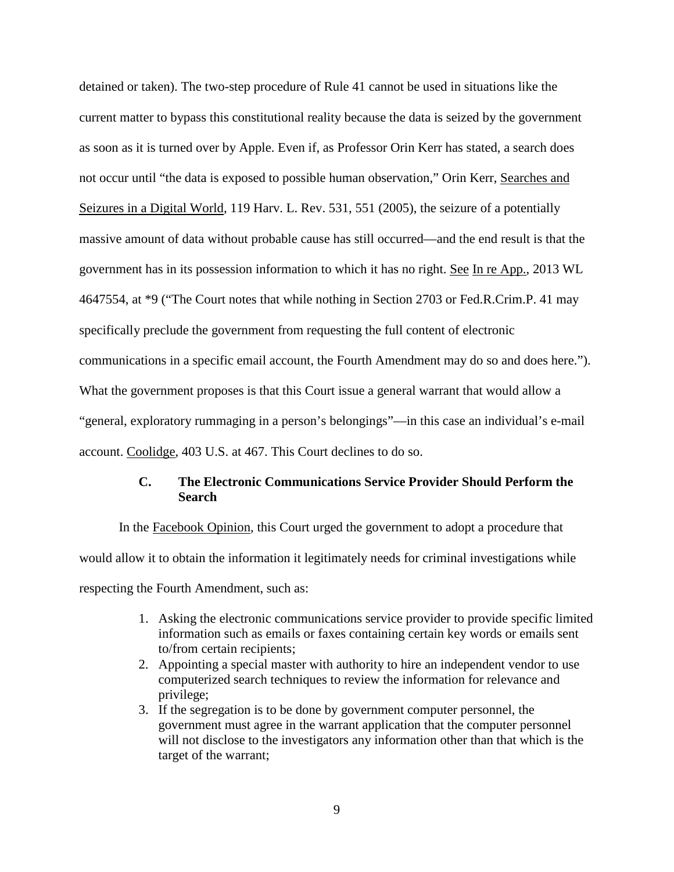detained or taken). The two-step procedure of Rule 41 cannot be used in situations like the current matter to bypass this constitutional reality because the data is seized by the government as soon as it is turned over by Apple. Even if, as Professor Orin Kerr has stated, a search does not occur until "the data is exposed to possible human observation," Orin Kerr, Searches and Seizures in a Digital World, 119 Harv. L. Rev. 531, 551 (2005), the seizure of a potentially massive amount of data without probable cause has still occurred—and the end result is that the government has in its possession information to which it has no right. See In re App., 2013 WL 4647554, at \*9 ("The Court notes that while nothing in Section 2703 or Fed.R.Crim.P. 41 may specifically preclude the government from requesting the full content of electronic communications in a specific email account, the Fourth Amendment may do so and does here."). What the government proposes is that this Court issue a general warrant that would allow a "general, exploratory rummaging in a person's belongings"—in this case an individual's e-mail account. Coolidge, 403 U.S. at 467. This Court declines to do so.

## **C. The Electronic Communications Service Provider Should Perform the Search**

In the Facebook Opinion, this Court urged the government to adopt a procedure that would allow it to obtain the information it legitimately needs for criminal investigations while respecting the Fourth Amendment, such as:

- 1. Asking the electronic communications service provider to provide specific limited information such as emails or faxes containing certain key words or emails sent to/from certain recipients;
- 2. Appointing a special master with authority to hire an independent vendor to use computerized search techniques to review the information for relevance and privilege;
- 3. If the segregation is to be done by government computer personnel, the government must agree in the warrant application that the computer personnel will not disclose to the investigators any information other than that which is the target of the warrant;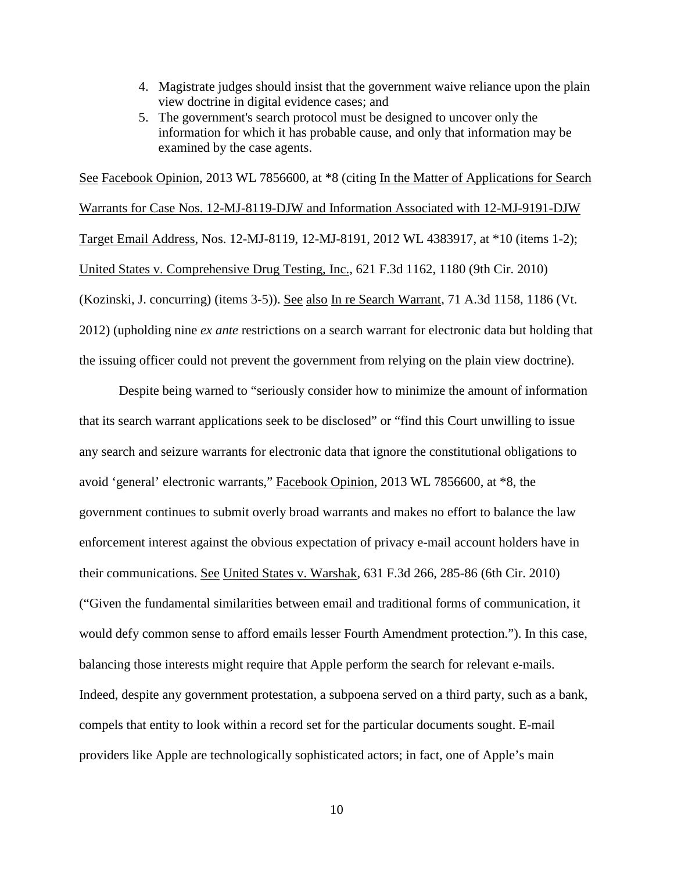- 4. Magistrate judges should insist that the government waive reliance upon the plain view doctrine in digital evidence cases; and
- 5. The government's search protocol must be designed to uncover only the information for which it has probable cause, and only that information may be examined by the case agents.

See Facebook Opinion, 2013 WL 7856600, at  $*8$  (citing In the Matter of Applications for Search Warrants for Case Nos. 12-MJ-8119-DJW and Information Associated with 12-MJ-9191-DJW Target Email Address, Nos. 12-MJ-8119, 12-MJ-8191, 2012 WL 4383917, at \*10 (items 1-2); United States v. Comprehensive Drug Testing, Inc., 621 F.3d 1162, 1180 (9th Cir. 2010) (Kozinski, J. concurring) (items 3-5)). See also In re Search Warrant, 71 A.3d 1158, 1186 (Vt. 2012) (upholding nine *ex ante* restrictions on a search warrant for electronic data but holding that the issuing officer could not prevent the government from relying on the plain view doctrine).

Despite being warned to "seriously consider how to minimize the amount of information that its search warrant applications seek to be disclosed" or "find this Court unwilling to issue any search and seizure warrants for electronic data that ignore the constitutional obligations to avoid 'general' electronic warrants," Facebook Opinion, 2013 WL 7856600, at \*8, the government continues to submit overly broad warrants and makes no effort to balance the law enforcement interest against the obvious expectation of privacy e-mail account holders have in their communications. See United States v. Warshak, 631 F.3d 266, 285-86 (6th Cir. 2010) ("Given the fundamental similarities between email and traditional forms of communication, it would defy common sense to afford emails lesser Fourth Amendment protection."). In this case, balancing those interests might require that Apple perform the search for relevant e-mails. Indeed, despite any government protestation, a subpoena served on a third party, such as a bank, compels that entity to look within a record set for the particular documents sought. E-mail providers like Apple are technologically sophisticated actors; in fact, one of Apple's main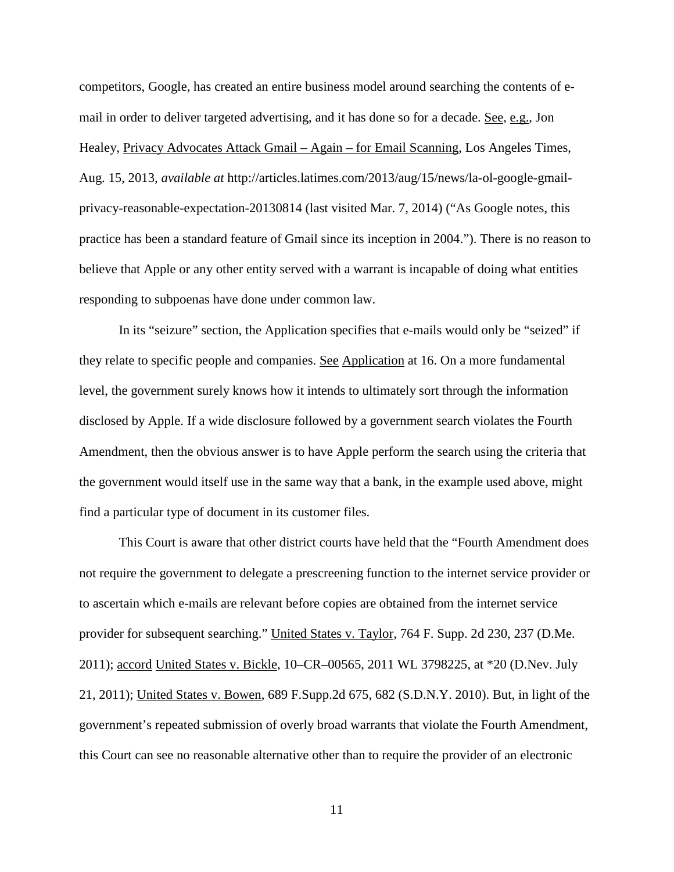competitors, Google, has created an entire business model around searching the contents of email in order to deliver targeted advertising, and it has done so for a decade. See, e.g., Jon Healey, Privacy Advocates Attack Gmail – Again – for Email Scanning, Los Angeles Times, Aug. 15, 2013, *available at* http://articles.latimes.com/2013/aug/15/news/la-ol-google-gmailprivacy-reasonable-expectation-20130814 (last visited Mar. 7, 2014) ("As Google notes, this practice has been a standard feature of Gmail since its inception in 2004."). There is no reason to believe that Apple or any other entity served with a warrant is incapable of doing what entities responding to subpoenas have done under common law.

In its "seizure" section, the Application specifies that e-mails would only be "seized" if they relate to specific people and companies. See Application at 16. On a more fundamental level, the government surely knows how it intends to ultimately sort through the information disclosed by Apple. If a wide disclosure followed by a government search violates the Fourth Amendment, then the obvious answer is to have Apple perform the search using the criteria that the government would itself use in the same way that a bank, in the example used above, might find a particular type of document in its customer files.

This Court is aware that other district courts have held that the "Fourth Amendment does not require the government to delegate a prescreening function to the internet service provider or to ascertain which e-mails are relevant before copies are obtained from the internet service provider for subsequent searching." United States v. Taylor, 764 F. Supp. 2d 230, 237 (D.Me. 2011); accord United States v. Bickle, 10–CR–00565, 2011 WL 3798225, at \*20 (D.Nev. July 21, 2011); United States v. Bowen, 689 F.Supp.2d 675, 682 (S.D.N.Y. 2010). But, in light of the government's repeated submission of overly broad warrants that violate the Fourth Amendment, this Court can see no reasonable alternative other than to require the provider of an electronic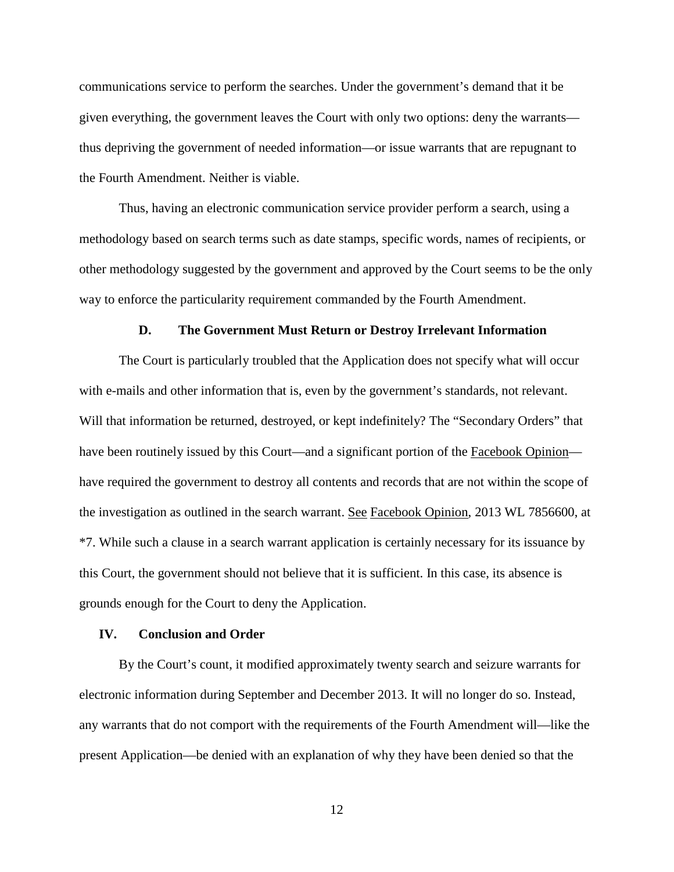communications service to perform the searches. Under the government's demand that it be given everything, the government leaves the Court with only two options: deny the warrants thus depriving the government of needed information—or issue warrants that are repugnant to the Fourth Amendment. Neither is viable.

Thus, having an electronic communication service provider perform a search, using a methodology based on search terms such as date stamps, specific words, names of recipients, or other methodology suggested by the government and approved by the Court seems to be the only way to enforce the particularity requirement commanded by the Fourth Amendment.

#### **D. The Government Must Return or Destroy Irrelevant Information**

The Court is particularly troubled that the Application does not specify what will occur with e-mails and other information that is, even by the government's standards, not relevant. Will that information be returned, destroyed, or kept indefinitely? The "Secondary Orders" that have been routinely issued by this Court—and a significant portion of the Facebook Opinion have required the government to destroy all contents and records that are not within the scope of the investigation as outlined in the search warrant. See Facebook Opinion, 2013 WL 7856600, at \*7. While such a clause in a search warrant application is certainly necessary for its issuance by this Court, the government should not believe that it is sufficient. In this case, its absence is grounds enough for the Court to deny the Application.

#### **IV. Conclusion and Order**

By the Court's count, it modified approximately twenty search and seizure warrants for electronic information during September and December 2013. It will no longer do so. Instead, any warrants that do not comport with the requirements of the Fourth Amendment will—like the present Application—be denied with an explanation of why they have been denied so that the